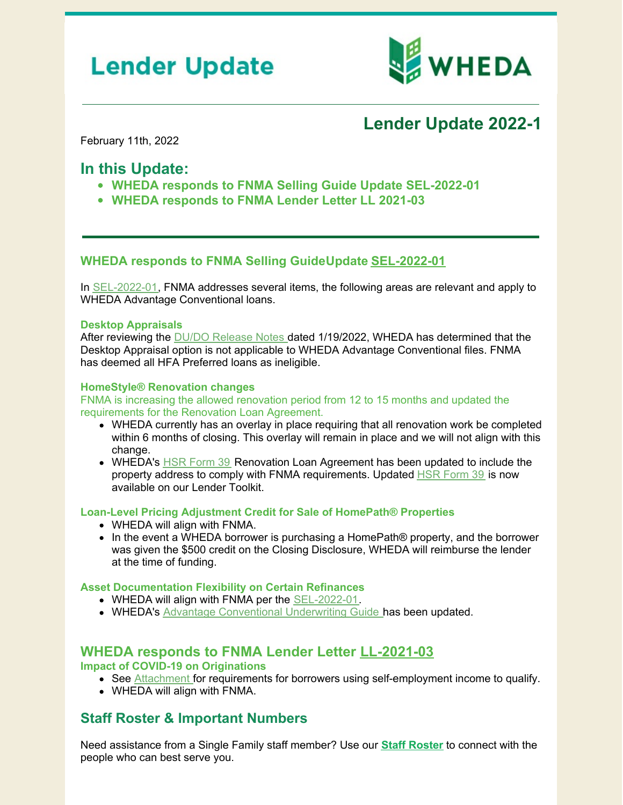# **Lender Update**



# **Lender Update 2022-1**

February 11th, 2022

## **In this Update:**

- **WHEDA responds to FNMA Selling Guide Update SEL-2022-01**
- **WHEDA responds to FNMA Lender Letter LL 2021-03**

#### **WHEDA responds to FNMA Selling GuideUpdate [SEL-2022-01](https://singlefamily.fanniemae.com/media/30466/display)**

In [SEL-2022-01](https://singlefamily.fanniemae.com/media/30466/display), FNMA addresses several items, the following areas are relevant and apply to WHEDA Advantage Conventional loans.

#### **Desktop Appraisals**

After reviewing the DU/DO [Release](https://singlefamily.fanniemae.com/media/30336/display) Notes dated 1/19/2022, WHEDA has determined that the Desktop Appraisal option is not applicable to WHEDA Advantage Conventional files. FNMA has deemed all HFA Preferred loans as ineligible.

#### **HomeStyle® Renovation changes**

FNMA is increasing the allowed renovation period from 12 to 15 months and updated the requirements for the Renovation Loan Agreement.

- WHEDA currently has an overlay in place requiring that all renovation work be completed within 6 months of closing. This overlay will remain in place and we will not align with this change.
- WHEDA's **HSR [Form](https://www.wheda.com/globalassets/documents/mortgage-lending/conventional-forms-exhibits/form-39.pdf) 39** Renovation Loan Agreement has been updated to include the property address to comply with FNMA requirements. Updated HSR [Form](https://www.wheda.com/globalassets/documents/mortgage-lending/conventional-forms-exhibits/form-39.pdf) 39 is now available on our Lender Toolkit.

#### **Loan-Level Pricing Adjustment Credit for Sale of HomePath® Properties**

- WHEDA will align with FNMA.
- In the event a WHEDA borrower is purchasing a HomePath® property, and the borrower was given the \$500 credit on the Closing Disclosure, WHEDA will reimburse the lender at the time of funding.

#### **Asset Documentation Flexibility on Certain Refinances**

- WHEDA will align with FNMA per the [SEL-2022-01](https://singlefamily.fanniemae.com/media/30466/display).
- WHEDA's Advantage [Conventional](https://www.wheda.com/globalassets/documents/mortgage-lending/conventional-forms-exhibits/conventional-underwriting-guide.pdf) Underwriting Guide has been updated.

### **WHEDA responds to FNMA Lender Letter [LL-2021-03](https://singlefamily.fanniemae.com/media/24811/display)**

**Impact of COVID-19 on Originations**

- See [Attachment](https://singlefamily.fanniemae.com/media/24811/display) for requirements for borrowers using self-employment income to qualify.
- WHEDA will align with FNMA.

### **Staff Roster & Important Numbers**

Need assistance from a Single Family staff member? Use our **Staff [Roster](https://www.wheda.com/globalassets/documents/mortgage-lending/single-family-staff-roster.pdf)** to connect with the people who can best serve you.